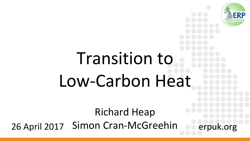# Transition to Low-Carbon Heat

Richard Heap 26 April 2017 Simon Cran-McGreehin erpuk.org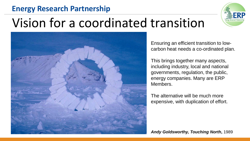#### **Energy Research Partnership**



### Vision for a coordinated transition



Ensuring an efficient transition to lowcarbon heat needs a co-ordinated plan.

This brings together many aspects, including industry, local and national governments, regulation, the public, energy companies. Many are ERP Members.

The alternative will be much more expensive, with duplication of effort.

*Andy Goldsworthy, Touching North***,** 1989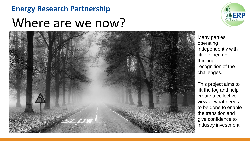### **Energy Research Partnership**

### Where are we now?





Many parties operating independently with little joined up thinking or recognition of the challenges.

This project aims to lift the fog and help create a collective view of what needs to be done to enable the transition and give confidence to industry investment.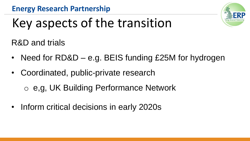

## Key aspects of the transition

R&D and trials

- Need for RD&D e.g. BEIS funding £25M for hydrogen
- Coordinated, public-private research

o e,g, UK Building Performance Network

• Inform critical decisions in early 2020s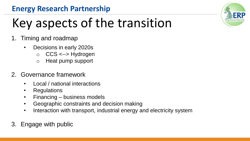#### **Energy Research Partnership**

## Key aspects of the transition

- 1. Timing and roadmap
	- Decisions in early 2020s
		- o CCS <--> Hydrogen
		- o Heat pump support
- 2. Governance framework
	- Local / national interactions
	- Regulations
	- Financing business models
	- Geographic constraints and decision making
	- Interaction with transport, industrial energy and electricity system
- 3. Engage with public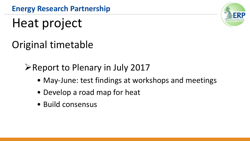### Heat project

### Original timetable

### $\triangleright$  Report to Plenary in July 2017

- May-June: test findings at workshops and meetings
- Develop a road map for heat
- Build consensus